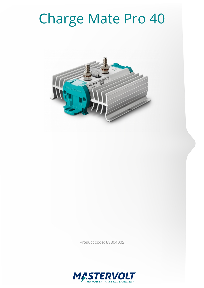# Charge Mate Pro 40



Product code: 83304002

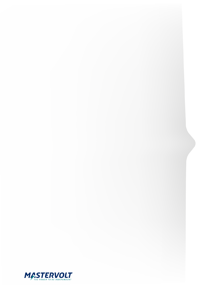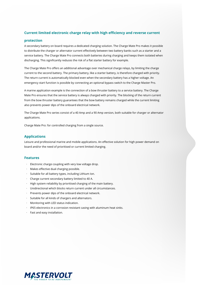## **Current limited electronic charge relay with high efficiency and reverse current**

#### **protection**

A secondary battery on board requires a dedicated charging solution. The Charge Mate Pro makes it possible to distribute the charger or alternator current effectively between two battery banks such as a starter and a service battery. The Charge Mate Pro connects both batteries during charging and keeps them isolated when discharging. This significantly reduces the risk of a flat starter battery for example.

The Charge Mate Pro offers an additional advantage over mechanical charge relays, by limiting the charge current to the second battery. The primary battery, like a starter battery, is therefore charged with priority. The return current is automatically blocked even when the secondary battery has a higher voltage. An emergency start function is possible by connecting an optional bypass switch to the Charge Master Pro.

A marine application example is the connection of a bow thruster battery to a service battery. The Charge Mate Pro ensures that the service battery is always charged with priority. The blocking of the return current from the bow thruster battery guarantees that the bow battery remains charged while the current limiting also prevents power dips of the onboard electrical network.

The Charge Mate Pro series consist of a 40 Amp and a 90 Amp version, both suitable for charger or alternator applications.

Charge Mate Pro: for controlled charging from a single source.

#### **Applications**

Leisure and professional marine and mobile applications. An effective solution for high power demand on board and/or the need of prioritised or current limited charging.

#### **Features**

- · Electronic charge coupling with very low voltage drop.
- · Makes effective dual charging possible.
- · Suitable for all battery types, including Lithium Ion.
- · Charge current secondary battery limited to 40 A.
- · High system reliability by prioritised charging of the main battery.
- · Unidirectional which blocks return current under all circumstances.
- · Prevents power dips of the onboard electrical network.
- · Suitable for all kinds of chargers and alternators.
- · Monitoring with LED status indication.
- · IP65 electronics in a corrosion resistant casing with aluminum heat sinks.
- · Fast and easy installation.